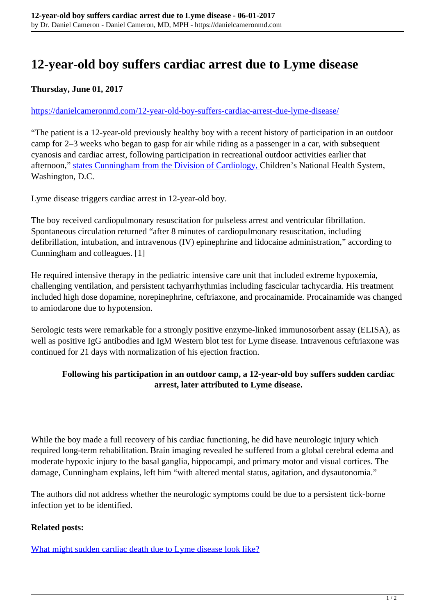# **12-year-old boy suffers cardiac arrest due to Lyme disease**

## **Thursday, June 01, 2017**

#### <https://danielcameronmd.com/12-year-old-boy-suffers-cardiac-arrest-due-lyme-disease/>

"The patient is a 12-year-old previously healthy boy with a recent history of participation in an outdoor camp for 2–3 weeks who began to gasp for air while riding as a passenger in a car, with subsequent cyanosis and cardiac arrest, following participation in recreational outdoor activities earlier that afternoon," [states Cunningham from the Division of Cardiology, C](https://www.ncbi.nlm.nih.gov/pmc/articles/PMC5420052/)hildren's National Health System, Washington, D.C.

Lyme disease triggers cardiac arrest in 12-year-old boy.

The boy received cardiopulmonary resuscitation for pulseless arrest and ventricular fibrillation. Spontaneous circulation returned "after 8 minutes of cardiopulmonary resuscitation, including defibrillation, intubation, and intravenous (IV) epinephrine and lidocaine administration," according to Cunningham and colleagues. [1]

He required intensive therapy in the pediatric intensive care unit that included extreme hypoxemia, challenging ventilation, and persistent tachyarrhythmias including fascicular tachycardia. His treatment included high dose dopamine, norepinephrine, ceftriaxone, and procainamide. Procainamide was changed to amiodarone due to hypotension.

Serologic tests were remarkable for a strongly positive enzyme-linked immunosorbent assay (ELISA), as well as positive IgG antibodies and IgM Western blot test for Lyme disease. Intravenous ceftriaxone was continued for 21 days with normalization of his ejection fraction.

### **Following his participation in an outdoor camp, a 12-year-old boy suffers sudden cardiac arrest, later attributed to Lyme disease.**

While the boy made a full recovery of his cardiac functioning, he did have neurologic injury which required long-term rehabilitation. Brain imaging revealed he suffered from a global cerebral edema and moderate hypoxic injury to the basal ganglia, hippocampi, and primary motor and visual cortices. The damage, Cunningham explains, left him "with altered mental status, agitation, and dysautonomia."

The authors did not address whether the neurologic symptoms could be due to a persistent tick-borne infection yet to be identified.

#### **Related posts:**

[What might sudden cardiac death due to Lyme disease look like?](https://danielcameronmd.com/autopsy-study-reviews-cases-due-to-sudden-cardiac-death-from-lyme-disease/)